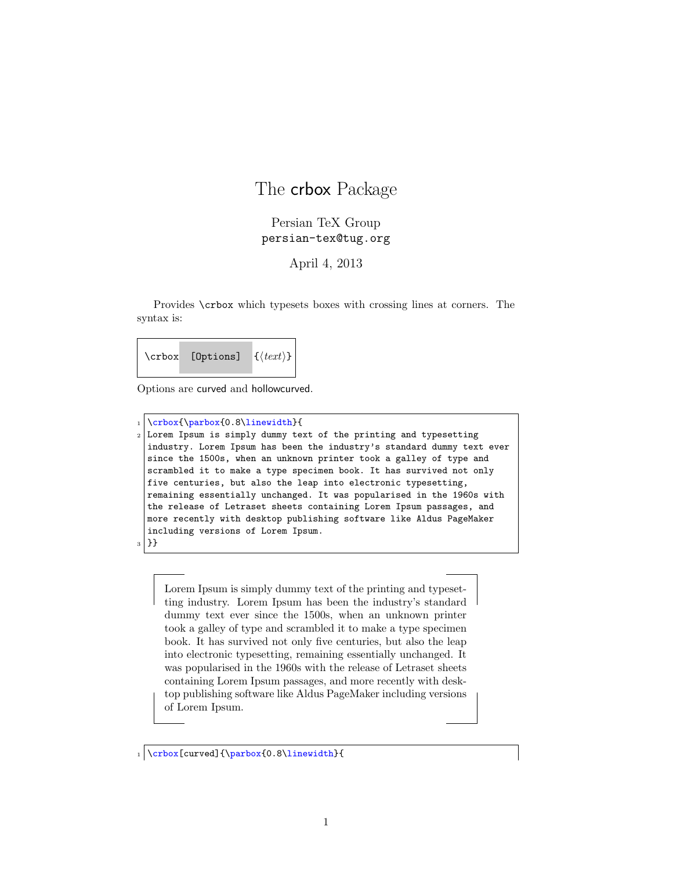## The **crbox** Package

## Persian TeX Group persian-tex@tug.org

April 4, 2013

Provides \crbox which typesets boxes with crossing lines at corners. The syntax is:

\crbox [Options] {*⟨text⟩*}

Options are curved and hollowcurved.

\crbox{\parbox{0.8\linewidth}{ Lorem Ipsum is simply dummy text of the printing and typesetting industry. Lorem Ipsum has been the industry's standard dummy text ever since the 1500s, when an unknown printer took a galley of type and scrambled it to make a type specimen book. It has survived not only five centuries, but also the leap into electronic typesetting, remaining essentially unchanged. It was popularised in the 1960s with the release of Letraset sheets containing Lorem Ipsum passages, and more recently with desktop publishing software like Aldus PageMaker including versions of Lorem Ipsum. <sup>3</sup> }}

Lorem Ipsum is simply dummy text of the printing and typesetting industry. Lorem Ipsum has been the industry's standard dummy text ever since the 1500s, when an unknown printer took a galley of type and scrambled it to make a type specimen book. It has survived not only five centuries, but also the leap into electronic typesetting, remaining essentially unchanged. It was popularised in the 1960s with the release of Letraset sheets containing Lorem Ipsum passages, and more recently with desktop publishing software like Aldus PageMaker including versions of Lorem Ipsum.

1 \crbox[curved]{\parbox{0.8\linewidth}{